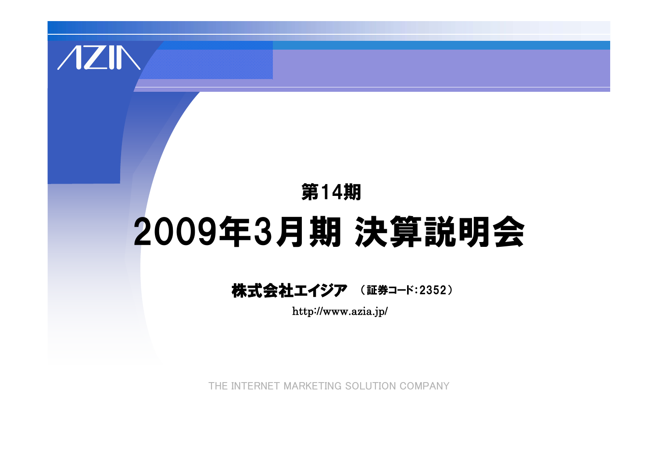

#### 第14期

# 2009年3月期 決算説明会

#### 株式会社エイジア (証券コード:2352)

http://www.azia.jp/

THE INTERNET MARKETING SOLUTION COMPANY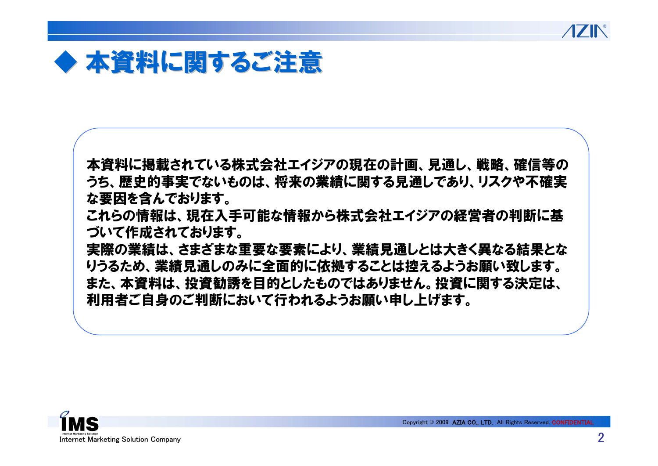

### ◆ 本資料に関するご注意

本資料に掲載されている株式会社エイジアの現在の計画、見通し、戦略、確信等の うち、歴史的事実でないものは、将来の業績に関する見通しであり、リスクや不確実 な要因を含んでおります。 これらの情報は、現在入手可能な情報から株式会社エイジアの経営者の判断に基

づいて作成されております。

実際の業績は、さまざまな重要な要素により、業績見通しとは大きく異なる結果とな りうるため、業績見通しのみに全面的に依拠することは控えるようお願い致します。 また、本資料は、投資勧誘を目的としたものではありません。投資に関する決定は、 利用者ご自身のご判断において行われるようお願い申し上げます。

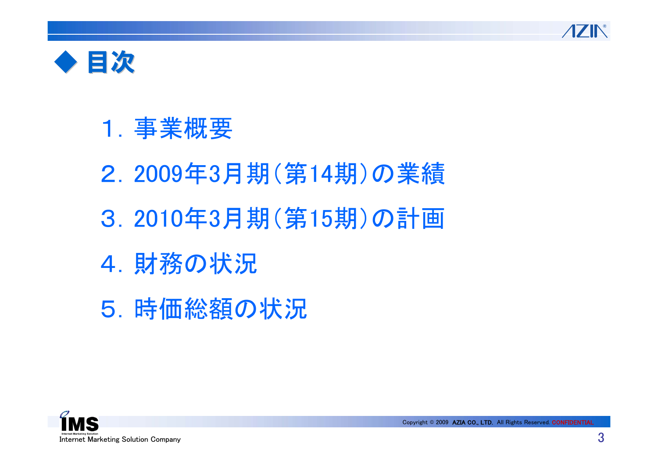



### 1.事業概要

- 2.2009年3月期(第14期)の業績
- 3.2010年3月期(第15期)の計画
- 4.財務の状況
- 5.時価総額の状況

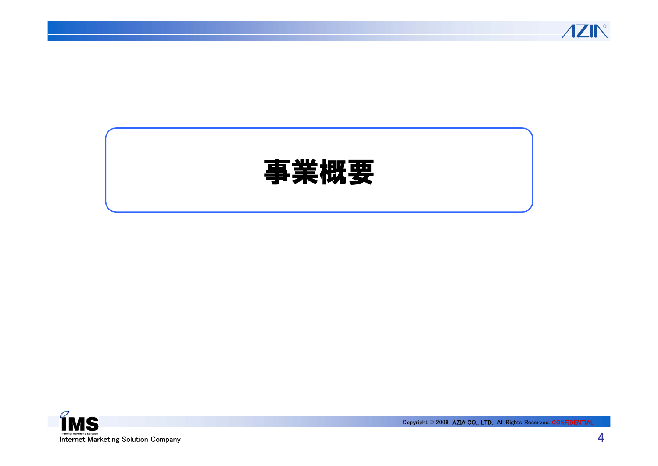





Copyright © 2009 AZIA CO., LTD. All Rights Reserved. CONFIDENTIAL

4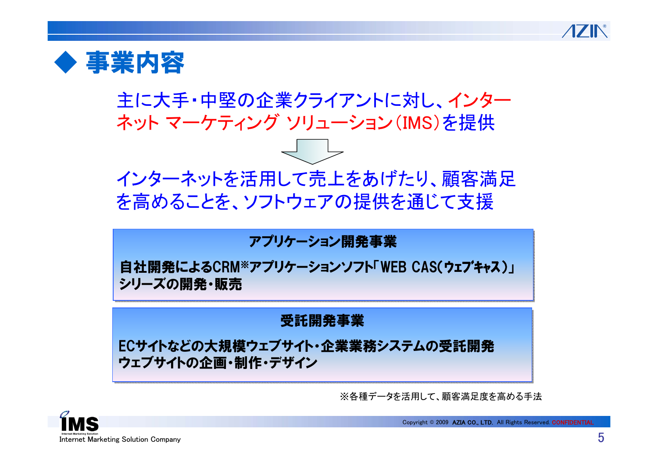



#### 主に大手・中堅の企業クライアントに対し、インター ネット マーケティング ソリューション(IMS)を提供



#### アプリケーション開発事業 アプリケーション開発事業

自社開発によるCRM※アプリケーションソフト「WEB CAS(ウェブキャス)」 自社開発によるCRM※アプリケーションソフト「WEB CAS(ウェブキャス)」 シリーズの開発・販売 シリーズの開発・販売

#### 受託開発事業 受託開発事業

ECサイトなどの大規模ウェブサイト・企業業務システムの受託開発 ECサイトなどの大規模ウェブサイト・企業業務システムの受託開発 ウェブサイトの企画・制作・デザイン ウェブサイトの企画・制作・デザイン

※各種データを活用して、顧客満足度を高める手法

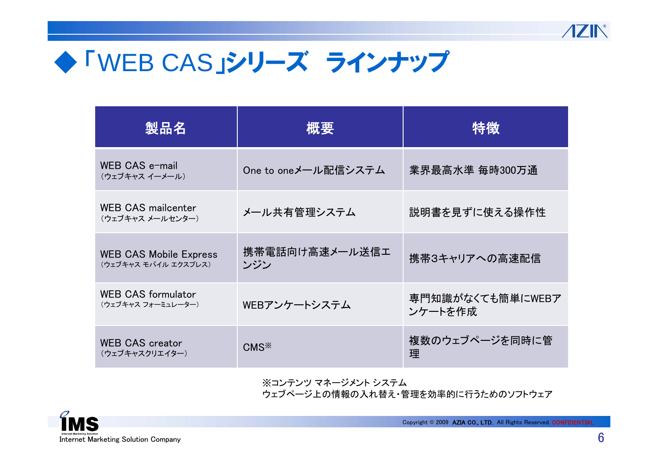

## ◆ 「WEB CAS」シリーズ ラインナップ

| 製品名                                                   | 概要                    | 特徴                          |  |
|-------------------------------------------------------|-----------------------|-----------------------------|--|
| WEB CAS e-mail<br>(ウェブキャス イーメール)                      | One to oneメール配信システム   | 業界最高水準 毎時300万通              |  |
| <b>WEB CAS mailcenter</b><br>(ウェブキャス メールセンター)         | メール共有管理システム           | 説明書を見ずに使える操作性               |  |
| <b>WEB CAS Mobile Express</b><br>(ウェブキャス モバイル エクスプレス) | 携帯電話向け高速メール送信エ<br>ンジン | 携帯3キャリアへの高速配信               |  |
| <b>WEB CAS formulator</b><br>(ウェブキャス フォーミュレーター)       | WEBアンケートシステム          | 専門知識がなくても簡単にWEBア<br>ンケートを作成 |  |
| <b>WEB CAS creator</b><br>(ウェブキャスクリエイター)              | $CMS*$                | 複数のウェブページを同時に管<br>理         |  |

※コンテンツ マネージメント システム

ウェブページ上の情報の入れ替え・管理を効率的に行うためのソフトウェア

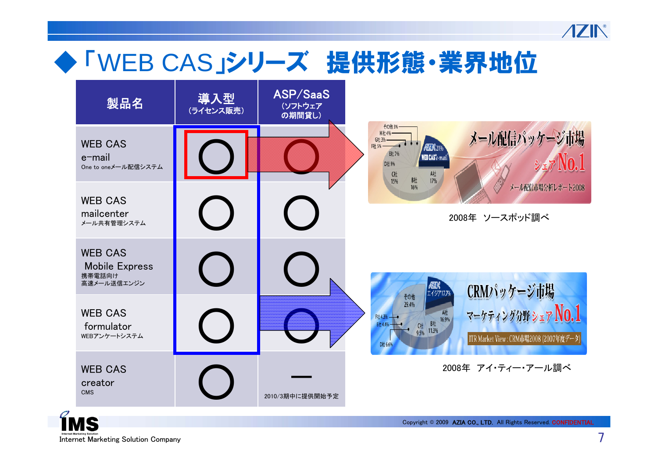

## ◆ 「WEB CAS」シリーズ 提供形態・業界地位



Internet Marketing Solution Company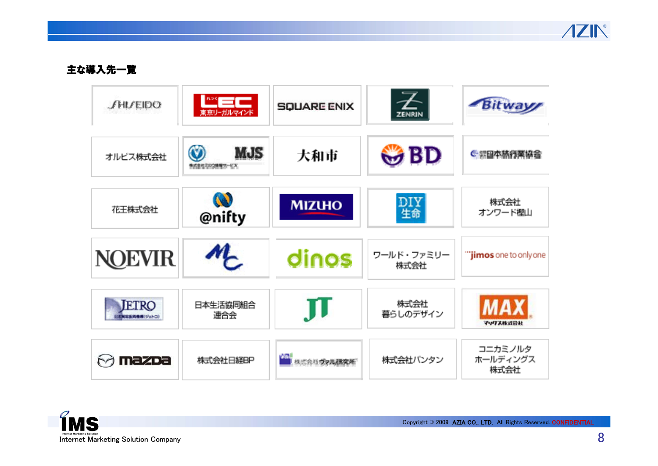

#### 主な導入先一覧



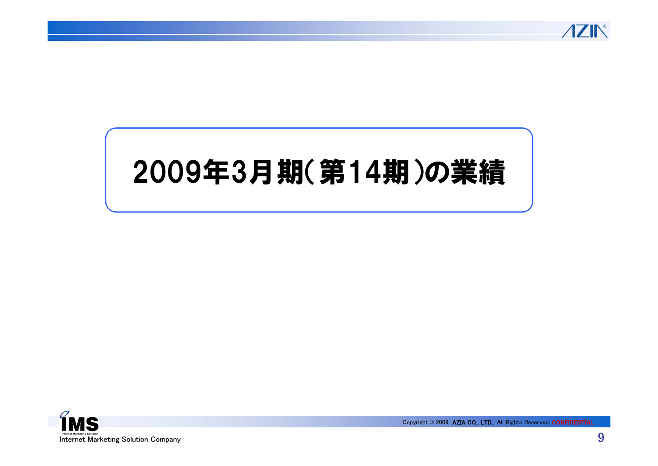

## 2009年3月期(第14期)の業績



Copyright © 2009 AZIA CO., LTD. All Rights Reserved. CONFIDENTIAL

9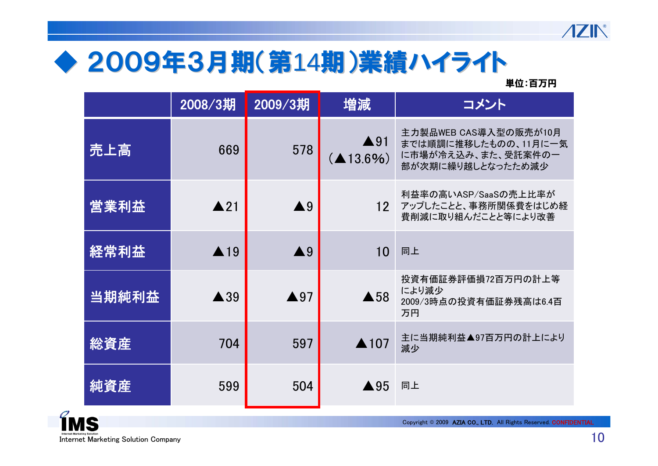### $\Delta ZIN$ ◆ 2009年3月期(第14期)業績ハイライト

#### 単位:百万円

|       | 2008/3期             | 2009/3期            | 増減                                 | コメント                                                                                     |
|-------|---------------------|--------------------|------------------------------------|------------------------------------------------------------------------------------------|
| 売上高   | 669                 | 578                | $\blacktriangle$ 91<br>$(413.6\%)$ | 主力製品WEB CAS導入型の販売が10月<br>までは順調に推移したものの、11月に一気<br>に市場が冷え込み、また、受託案件の一<br>部が次期に繰り越しとなったため減少 |
| 営業利益  | $\triangle$ 21      | $\blacktriangle 9$ | 12 <sup>7</sup>                    | 利益率の高いASP/SaaSの売上比率が<br>アップしたことと、事務所関係費をはじめ経<br>費削減に取り組んだことと等により改善                       |
| 経常利益  | $\triangle$ 19      | $\blacktriangle 9$ | 10                                 | 同上                                                                                       |
| 当期純利益 | $\blacktriangle$ 39 | $\triangle$ 97     | $\triangle$ 58                     | 投資有価証券評価損72百万円の計上等<br>により減少<br>2009/3時点の投資有価証券残高は6.4百<br>万円                              |
| 総資産   | 704                 | 597                | $\triangle$ 107                    | 主に当期純利益▲97百万円の計上により<br>減少                                                                |
| 純資産   | 599                 | 504                | $\blacktriangle$ 95                | 同上                                                                                       |

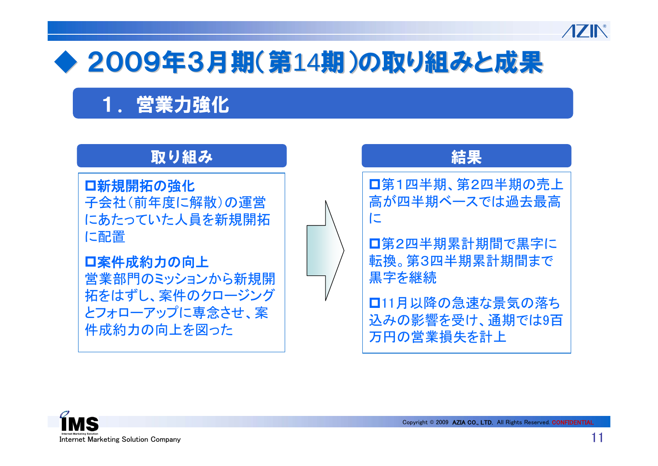### 1.営業力強化





Copyright © 2009 AZIA CO., LTD. All Rights Reserved. CONFIDENTIAL

 $\Delta ZI\Gamma$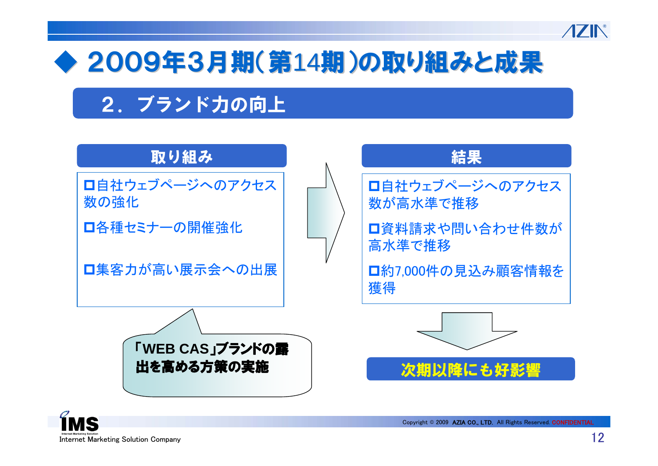

#### 2.ブランド力の向上





Copyright © 2009 AZIA CO., LTD. All Rights Reserved. CONFIDENTIAL

 $\Delta ZI\Gamma$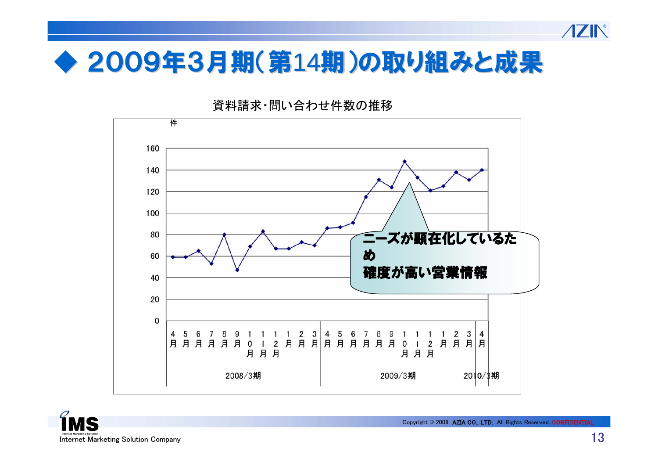資料請求・問い合わせ件数の推移





Copyright © 2009 AZIA CO., LTD. All Rights Reserved. CONFIDENTIAL

 $\Delta ZIN$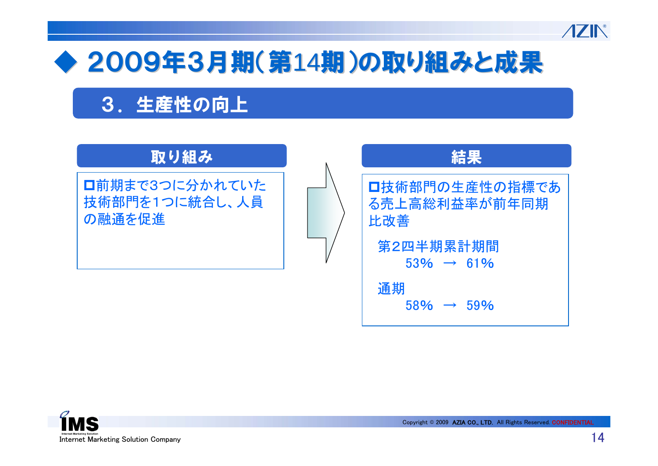### 3.生産性の向上





Copyright © 2009 AZIA CO., LTD. All Rights Reserved. CONFIDENTIAL

 $\Delta ZI\Gamma$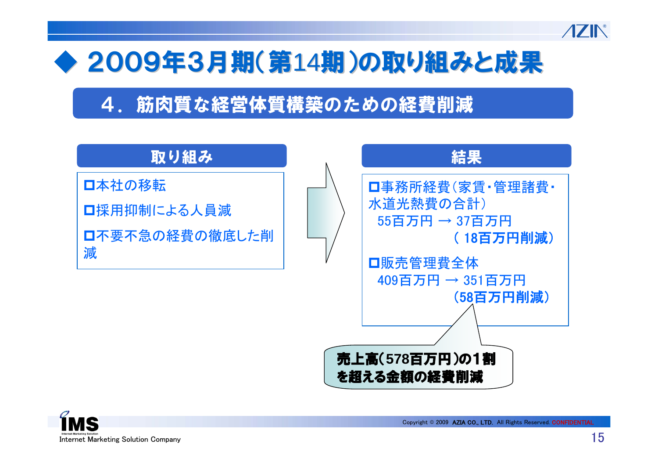

#### 4.筋肉質な経営体質構築のための経費削減



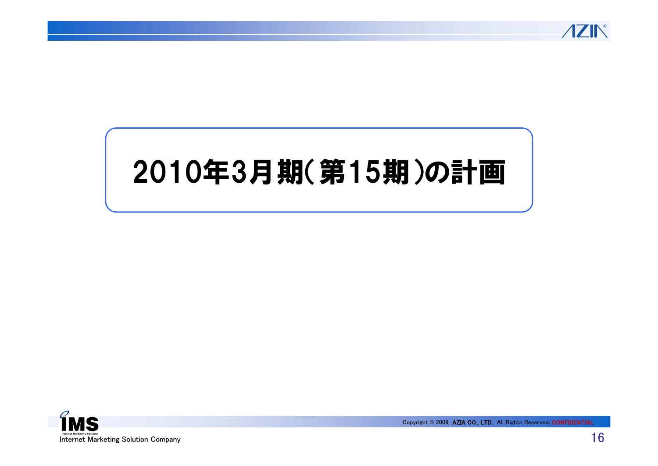

## 2010年3月期(第15期)の計画

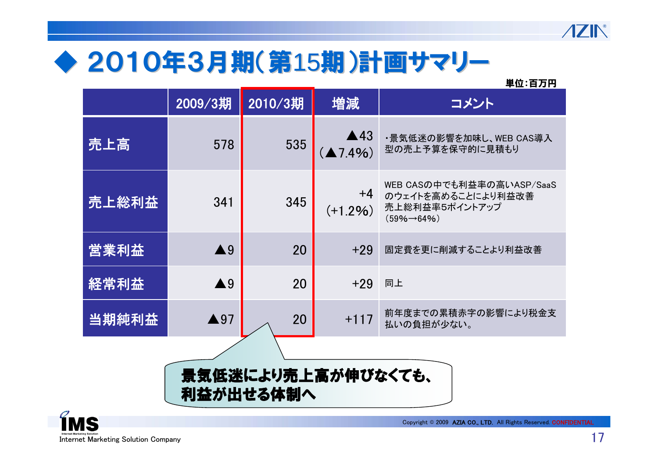## ◆ 2010年3月期(第15期)計画サマリー

利益が出せる体制へ

単位:百万円

 $\Delta ZIN^{\circ}$ 

|                    | 2009/3期             | 2010/3期 | 増減                           | コメント                                                                                           |
|--------------------|---------------------|---------|------------------------------|------------------------------------------------------------------------------------------------|
| 売上高                | 578                 | 535     | $\triangle$ 43<br>$(47.4\%)$ | ・景気低迷の影響を加味し、WEB CAS導入<br>型の売上予算を保守的に見積もり                                                      |
| 売上総利益              | 341                 | 345     | $+4$<br>$(+1.2\%)$           | WEB CASの中でも利益率の高いASP/SaaS<br>のウェイトを高めることにより利益改善<br>売上総利益率5ポイントアップ<br>$(59\% \rightarrow 64\%)$ |
| 営業利益               | $\blacktriangle 9$  | 20      | $+29$                        | 固定費を更に削減することより利益改善                                                                             |
| 経常利益               | $\blacktriangle 9$  | 20      | $+29$                        | 同上                                                                                             |
| 当期純利益              | $\blacktriangle$ 97 | 20      | $+117$                       | 前年度までの累積赤字の影響により税金支<br>払いの負担が少ない。                                                              |
|                    |                     |         |                              |                                                                                                |
| 景気低迷により売上高が伸びなくても、 |                     |         |                              |                                                                                                |

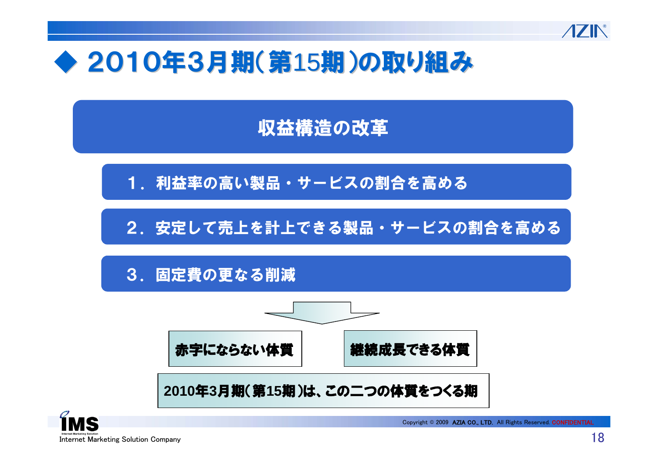

#### 収益構造の改革

- 1. 利益率の高い製品・サービスの割合を高める
- 2.安定して売上を計上できる製品・サービスの割合を高める

#### 3.固定費の更なる削減



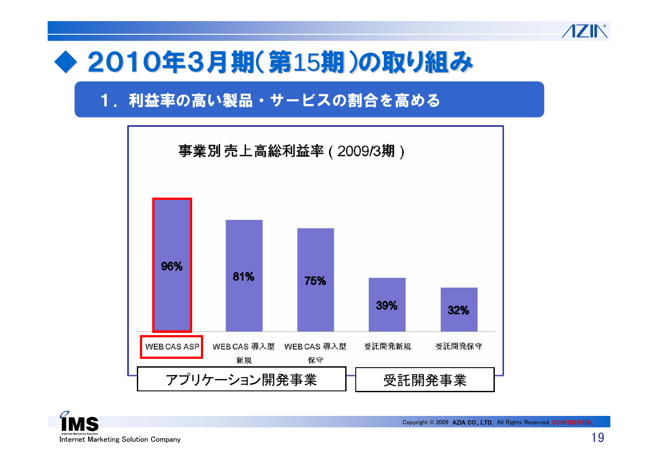

#### 1. 利益率の高い製品・サービスの割合を高める



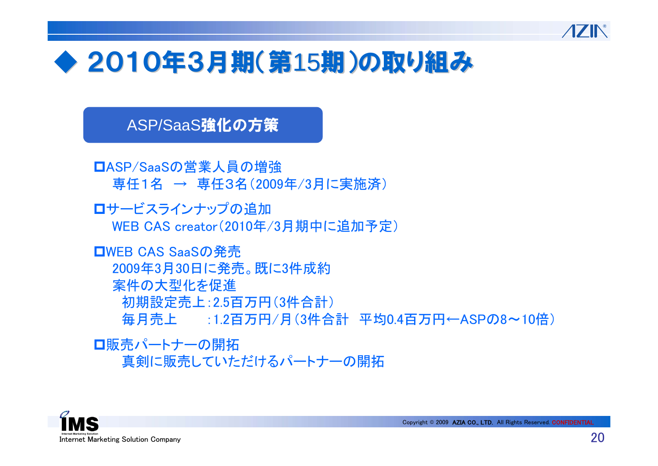

#### ASP/SaaS強化の方策

ASP/SaaSの営業人員の増強 専任1名 <sup>→</sup> 専任3名(2009年/3月に実施済)

サービスラインナップの追加 WEB CAS creator(2010年/3月期中に追加予定)

WEB CAS SaaSの発売 2009年3月30日に発売。既に3件成約 案件の大型化を促進 初期設定売上:2.5百万円(3件合計) 毎月売上 :1.2百万円/月(3件合計 平均0.4百万円←ASPの8~10倍)

販売パートナーの開拓 真剣に販売していただけるパートナーの開拓

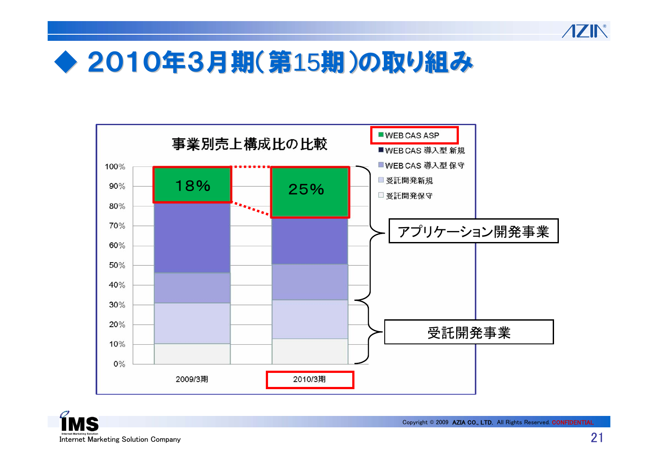



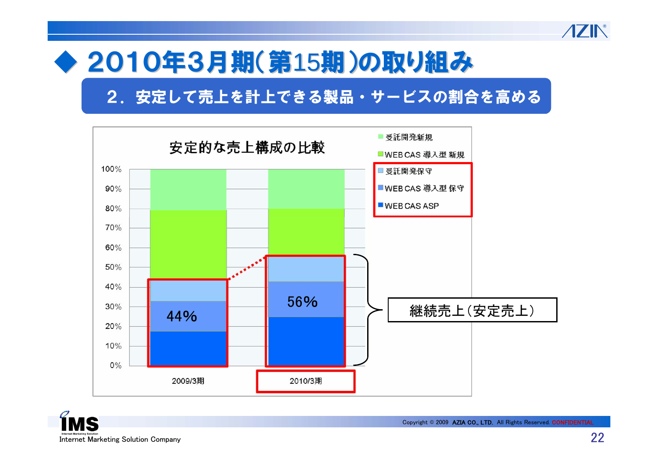

#### 2.安定して売上を計上できる製品・サービスの割合を高める



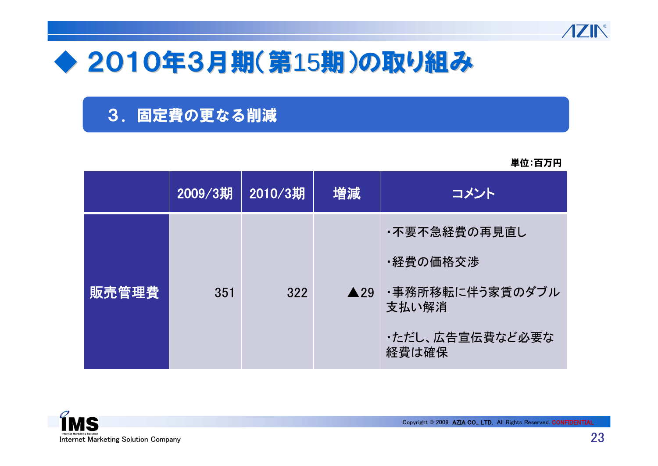

#### 3.固定費の更なる削減

単位:百万円

|       | 2009/3期 | $2010/3$ 期 | 増減             | コメント                                                                             |
|-------|---------|------------|----------------|----------------------------------------------------------------------------------|
| 販売管理費 | 351     | 322        | $\triangle$ 29 | ・不要不急経費の再見直し<br>・経費の価格交渉<br>・事務所移転に伴う家賃のダブル<br>支払い解消<br>・ただし、広告宣伝費など必要な<br>経費は確保 |

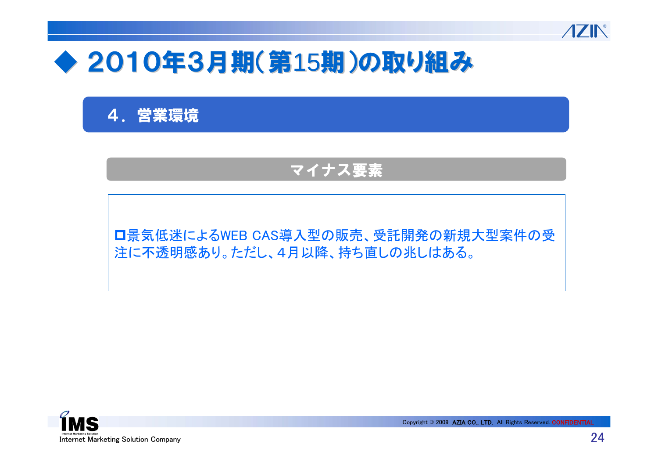

#### 4.営業環境

#### マイナス要素

景気低迷によるWEB CAS導入型の販売、受託開発の新規大型案件の受 注に不透明感あり。ただし、4月以降、持ち直しの兆しはある。

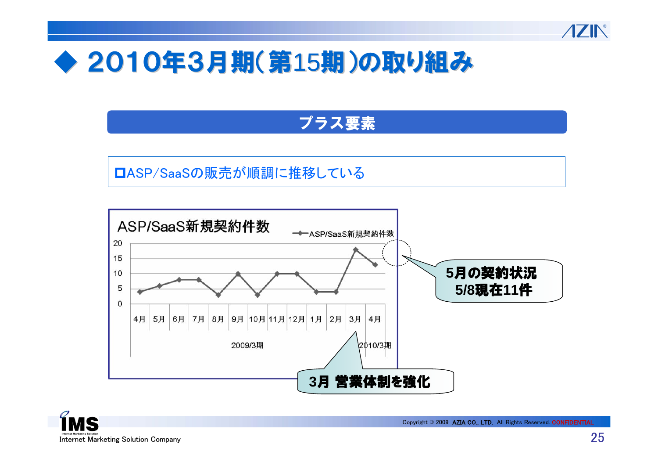

#### プラス要素

ASP/SaaSの販売が順調に推移している



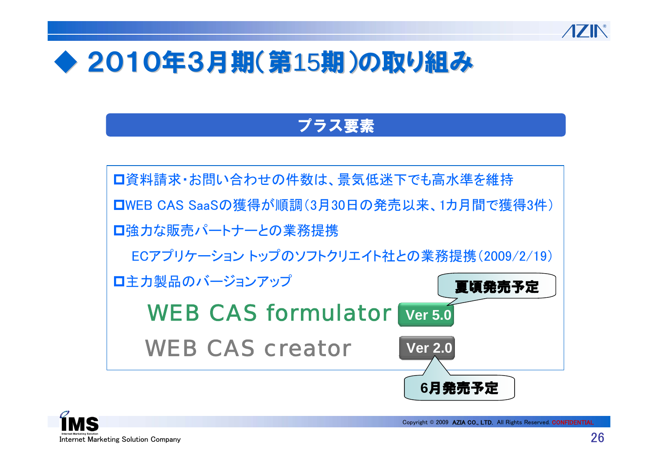

#### プラス要素



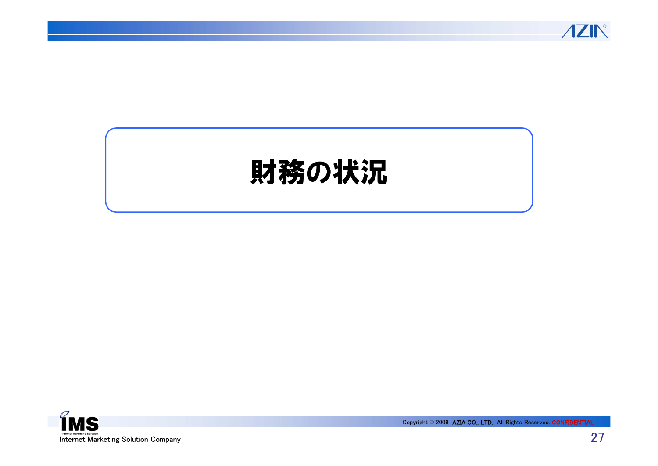

## 財務の状況

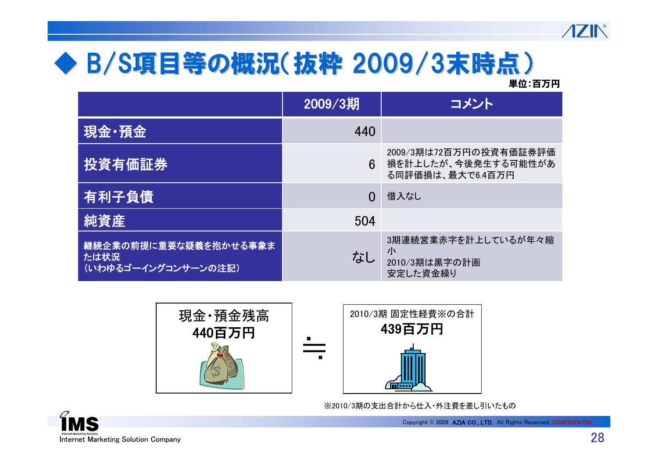#### ◆ B/S項目等の概況(抜粋 2009/3末時点) 単位:百万円

|                                                      | 2009/3期  | コメント                                                              |
|------------------------------------------------------|----------|-------------------------------------------------------------------|
| 現金 預金                                                | 440      |                                                                   |
| 投資有価証券                                               | 6        | 2009/3期は72百万円の投資有価証券評価<br>損を計上したが、今後発生する可能性があ<br>る同評価損は、最大で6.4百万円 |
| 有利子負債                                                | $\Omega$ | 借入なし                                                              |
| 純資産                                                  | 504      |                                                                   |
| 継続企業の前提に重要な疑義を抱かせる事象ま<br>たは状況<br>(いわゆるゴーイングコンサーンの注記) | なし       | 3期連続営業赤字を計上しているが年々縮<br>$\frac{1}{2}$<br>2010/3期は黒字の計画<br>安定した資金繰り |



※2010/3期の支出合計から仕入・外注費を差し引いたもの Copyright 2006 AZIA CO., LTD. All Rights Reserved.



Copyright © 2009 AZIA CO., LTD. All Rights Reserved. CONFIDENTIAL

 $\Delta ZIN$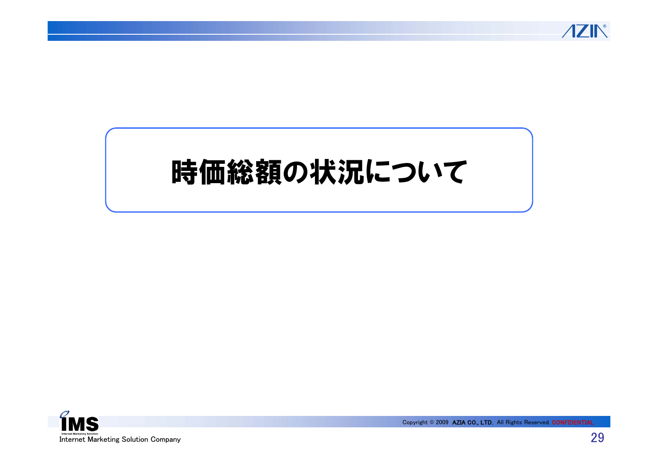

## 時価総額の状況について

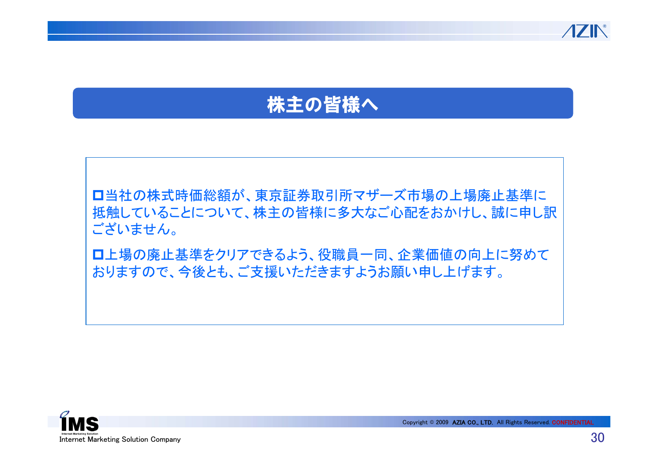

### 株主の皆様へ

当社の株式時価総額が、東京証券取引所マザーズ市場の上場廃止基準に 抵触していることについて、株主の皆様に多大なご心配をおかけし、誠に申し訳 ございません。

上場の廃止基準をクリアできるよう、役職員一同、企業価値の向上に努めて おりますので、今後とも、ご支援いただきますようお願い申し上げます。

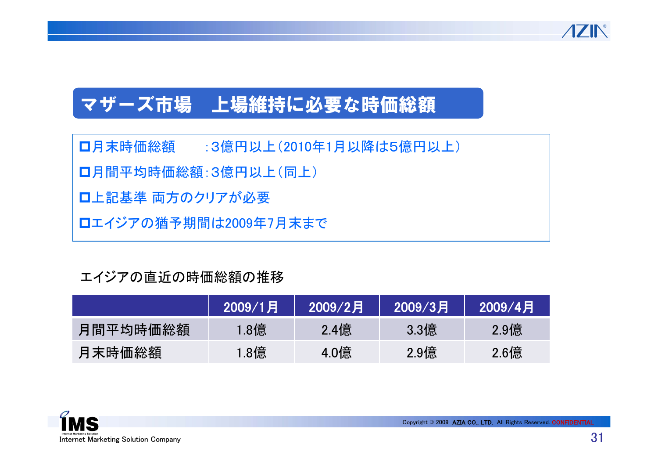

#### マザーズ市場 上場維持に必要な時価総額

月末時価総額 :3億円以上(2010年1月以降は5億円以上)

月間平均時価総額:3億円以上(同上)

上記基準 両方のクリアが必要

エイジアの猶予期間は2009年7月末まで

#### エイジアの直近の時価総額の推移

|          | $2009/1$ 月 | 2009/2月 | 2009/3月 | $2009/4$ 月 |
|----------|------------|---------|---------|------------|
| 月間平均時価総額 | .8億        | 2.4億    | 3.3億    | 2.9億       |
| 月末時価総額   | .8億        | 4.0億    | 2.9億    | 2.6億       |

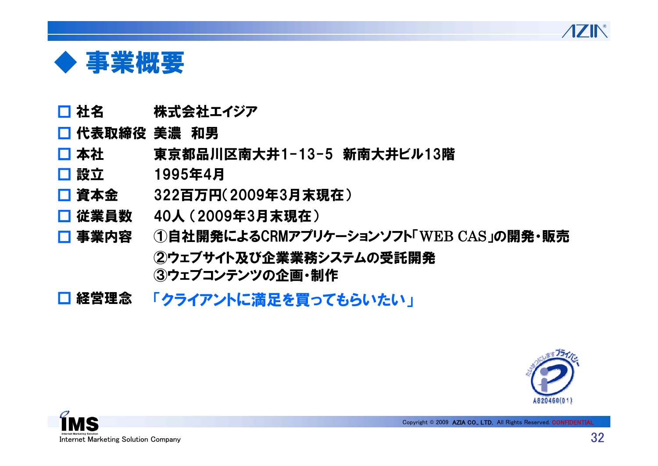



- □ 社名 株式会社エイジア
- □ 代表取締役 美濃 和男
- □ 本社 東京都品川区南大井1-13-5 新南大井ビル13階
- □ 設立 1995年4月
- □ 資本金 322百万円(2009年3月末現在)
- □ 従業員数 40人 (2009年3月末現在)
- □ 事業内容 ①自社開発によるCRMアプリケーションソフト「WEB CAS」の開発・販売 ②ウェブサイト及び企業業務システムの受託開発 ③ウェブコンテンツの企画・制作
- □ 経営理念 「クライアントに満足を買ってもらいたい」